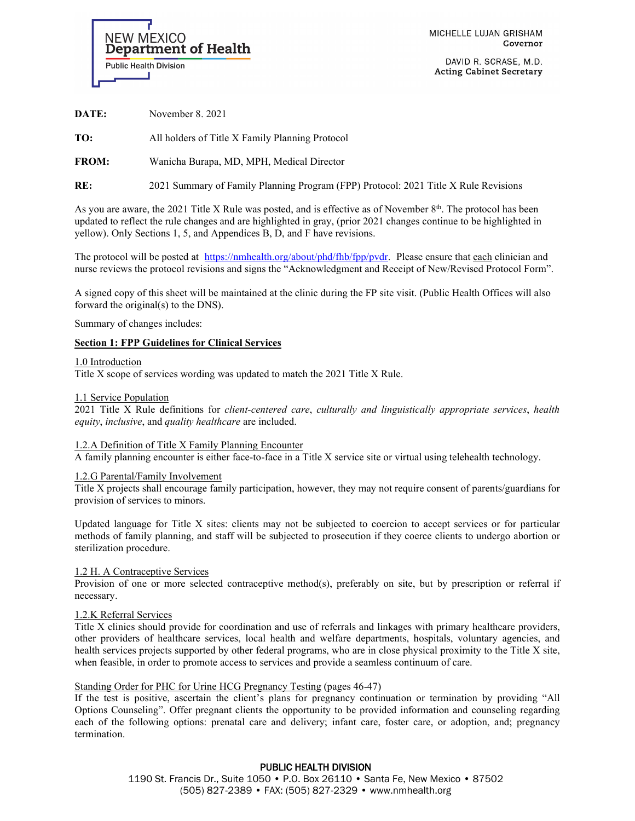

MICHELLE LUJAN GRISHAM Governor

DAVID R. SCRASE, M.D. **Acting Cabinet Secretary** 

**DATE:** November 8. 2021

**TO:** All holders of Title X Family Planning Protocol

**FROM:** Wanicha Burapa, MD, MPH, Medical Director

**RE:** 2021 Summary of Family Planning Program (FPP) Protocol: 2021 Title X Rule Revisions

As you are aware, the 2021 Title X Rule was posted, and is effective as of November 8<sup>th</sup>. The protocol has been updated to reflect the rule changes and are highlighted in gray, (prior 2021 changes continue to be highlighted in yellow). Only Sections 1, 5, and Appendices B, D, and F have revisions.

The protocol will be posted at [https://nmhealth.org/about/phd/fhb/fpp/pvdr.](http://nmhealth.org/go/familyplanning/) Please ensure that each clinician and nurse reviews the protocol revisions and signs the "Acknowledgment and Receipt of New/Revised Protocol Form".

A signed copy of this sheet will be maintained at the clinic during the FP site visit. (Public Health Offices will also forward the original(s) to the DNS).

Summary of changes includes:

# **Section 1: FPP Guidelines for Clinical Services**

### 1.0 Introduction

Title X scope of services wording was updated to match the 2021 Title X Rule.

### 1.1 Service Population

2021 Title X Rule definitions for *client-centered care*, *culturally and linguistically appropriate services*, *health equity*, *inclusive*, and *quality healthcare* are included.

# 1.2.A Definition of Title X Family Planning Encounter

A family planning encounter is either face-to-face in a Title X service site or virtual using telehealth technology.

1.2.G Parental/Family Involvement

Title X projects shall encourage family participation, however, they may not require consent of parents/guardians for provision of services to minors.

Updated language for Title X sites: clients may not be subjected to coercion to accept services or for particular methods of family planning, and staff will be subjected to prosecution if they coerce clients to undergo abortion or sterilization procedure.

# 1.2 H. A Contraceptive Services

Provision of one or more selected contraceptive method(s), preferably on site, but by prescription or referral if necessary.

# 1.2.K Referral Services

Title X clinics should provide for coordination and use of referrals and linkages with primary healthcare providers, other providers of healthcare services, local health and welfare departments, hospitals, voluntary agencies, and health services projects supported by other federal programs, who are in close physical proximity to the Title X site, when feasible, in order to promote access to services and provide a seamless continuum of care.

# Standing Order for PHC for Urine HCG Pregnancy Testing (pages 46-47)

If the test is positive, ascertain the client's plans for pregnancy continuation or termination by providing "All Options Counseling". Offer pregnant clients the opportunity to be provided information and counseling regarding each of the following options: prenatal care and delivery; infant care, foster care, or adoption, and; pregnancy termination.

> PUBLIC HEALTH DIVISION 1190 St. Francis Dr., Suite 1050 • P.O. Box 26110 • Santa Fe, New Mexico • 87502 (505) 827-2389 • FAX: (505) 827-2329 • www.nmhealth.org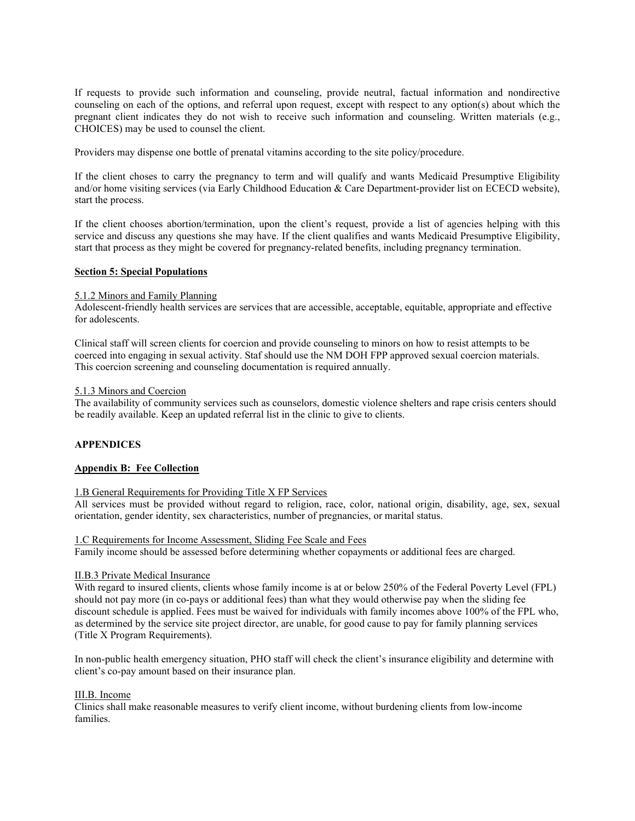If requests to provide such information and counseling, provide neutral, factual information and nondirective counseling on each of the options, and referral upon request, except with respect to any option(s) about which the pregnant client indicates they do not wish to receive such information and counseling. Written materials (e.g., CHOICES) may be used to counsel the client.

Providers may dispense one bottle of prenatal vitamins according to the site policy/procedure.

If the client choses to carry the pregnancy to term and will qualify and wants Medicaid Presumptive Eligibility and/or home visiting services (via Early Childhood Education & Care Department-provider list on ECECD website), start the process.

If the client chooses abortion/termination, upon the client's request, provide a list of agencies helping with this service and discuss any questions she may have. If the client qualifies and wants Medicaid Presumptive Eligibility, start that process as they might be covered for pregnancy-related benefits, including pregnancy termination.

### **Section 5: Special Populations**

### 5.1.2 Minors and Family Planning

Adolescent-friendly health services are services that are accessible, acceptable, equitable, appropriate and effective for adolescents.

Clinical staff will screen clients for coercion and provide counseling to minors on how to resist attempts to be coerced into engaging in sexual activity. Staf should use the NM DOH FPP approved sexual coercion materials. This coercion screening and counseling documentation is required annually.

#### 5.1.3 Minors and Coercion

The availability of community services such as counselors, domestic violence shelters and rape crisis centers should be readily available. Keep an updated referral list in the clinic to give to clients.

# **APPENDICES**

### **Appendix B: Fee Collection**

#### 1.B General Requirements for Providing Title X FP Services

All services must be provided without regard to religion, race, color, national origin, disability, age, sex, sexual orientation, gender identity, sex characteristics, number of pregnancies, or marital status.

#### 1.C Requirements for Income Assessment, Sliding Fee Scale and Fees

Family income should be assessed before determining whether copayments or additional fees are charged.

#### II.B.3 Private Medical Insurance

With regard to insured clients, clients whose family income is at or below 250% of the Federal Poverty Level (FPL) should not pay more (in co-pays or additional fees) than what they would otherwise pay when the sliding fee discount schedule is applied. Fees must be waived for individuals with family incomes above 100% of the FPL who, as determined by the service site project director, are unable, for good cause to pay for family planning services (Title X Program Requirements).

In non-public health emergency situation, PHO staff will check the client's insurance eligibility and determine with client's co-pay amount based on their insurance plan.

#### III.B. Income

Clinics shall make reasonable measures to verify client income, without burdening clients from low-income families.